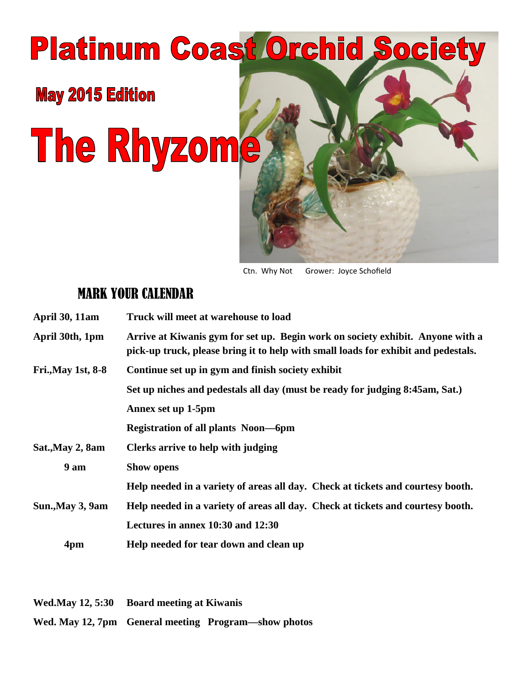# **Platinum Coast Orchid Society**

**May 2015 Edition** 

The Rhyzome



Ctn. Why Not Grower: Joyce Schofield

# MARK YOUR CALENDAR

| <b>April 30, 11am</b>     | Truck will meet at warehouse to load                                                                                                                                 |
|---------------------------|----------------------------------------------------------------------------------------------------------------------------------------------------------------------|
| April 30th, 1pm           | Arrive at Kiwanis gym for set up. Begin work on society exhibit. Anyone with a<br>pick-up truck, please bring it to help with small loads for exhibit and pedestals. |
| <b>Fri., May 1st, 8-8</b> | Continue set up in gym and finish society exhibit                                                                                                                    |
|                           | Set up niches and pedestals all day (must be ready for judging 8:45am, Sat.)                                                                                         |
|                           | Annex set up 1-5pm                                                                                                                                                   |
|                           | <b>Registration of all plants Noon—6pm</b>                                                                                                                           |
| Sat., May 2, 8am          | Clerks arrive to help with judging                                                                                                                                   |
| 9 am                      | <b>Show opens</b>                                                                                                                                                    |
|                           | Help needed in a variety of areas all day. Check at tickets and courtesy booth.                                                                                      |
| Sun., May 3, 9am          | Help needed in a variety of areas all day. Check at tickets and courtesy booth.                                                                                      |
|                           | Lectures in annex 10:30 and 12:30                                                                                                                                    |
| 4pm                       | Help needed for tear down and clean up                                                                                                                               |

**Wed.May 12, 5:30 Board meeting at Kiwanis**

**Wed. May 12, 7pm General meeting Program—show photos**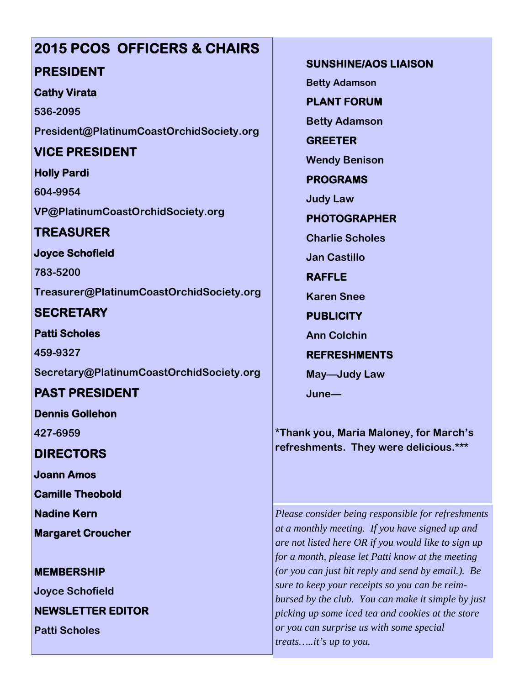# **2015 PCOS OFFICERS & CHAIRS**

## **PRESIDENT**

#### **Cathy Virata**

**536-2095 President@PlatinumCoastOrchidSociety.org**

# **VICE PRESIDENT**

#### **Holly Pardi**

**604-9954 VP@PlatinumCoastOrchidSociety.org**

# **TREASURER**

#### **Joyce Schofield**

**783-5200 Treasurer@PlatinumCoastOrchidSociety.org**

## **SECRETARY**

**Patti Scholes 459-9327**

**Secretary@PlatinumCoastOrchidSociety.org**

# **PAST PRESIDENT**

**Dennis Gollehon**

**427-6959**

## **DIRECTORS**

**Joann Amos**

**Camille Theobold**

**Nadine Kern**

**Margaret Croucher**

#### **MEMBERSHIP**

**Joyce Schofield**

**NEWSLETTER EDITOR**

**Patti Scholes**

**SUNSHINE/AOS LIAISON**

**Betty Adamson**

**PLANT FORUM**

**Betty Adamson**

**GREETER Wendy Benison**

**PROGRAMS**

**Judy Law**

**PHOTOGRAPHER**

**Charlie Scholes**

**Jan Castillo**

**RAFFLE**

**Karen Snee**

**PUBLICITY**

**Ann Colchin**

**REFRESHMENTS**

**May—Judy Law**

**June—**

**\*Thank you, Maria Maloney, for March's refreshments. They were delicious.\*\*\***

*Please consider being responsible for refreshments at a monthly meeting. If you have signed up and are not listed here OR if you would like to sign up for a month, please let Patti know at the meeting (or you can just hit reply and send by email.). Be sure to keep your receipts so you can be reimbursed by the club. You can make it simple by just picking up some iced tea and cookies at the store or you can surprise us with some special treats…..it's up to you.*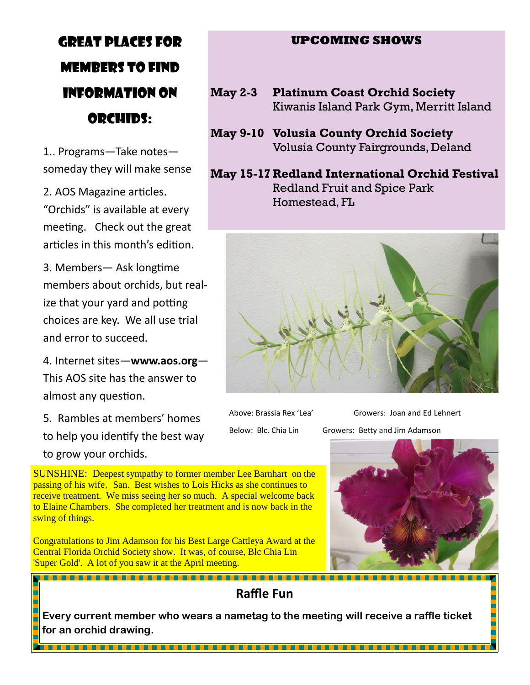# GREAT PLACES FOR MEMBERS TO FIND INFORMATION ON ORCHIDS:

1.. Programs—Take notes someday they will make sense

2. AOS Magazine articles. "Orchids" is available at every meeting. Check out the great articles in this month's edition.

3. Members - Ask longtime members about orchids, but realize that your yard and potting choices are key. We all use trial and error to succeed.

4. Internet sites—**www.aos.org**— This AOS site has the answer to almost any question.

5. Rambles at members' homes to help you identify the best way to grow your orchids.

**UPCOMING SHOWS**

- **May 2-3 Platinum Coast Orchid Society** Kiwanis Island Park Gym, Merritt Island
- **May 9-10 Volusia County Orchid Society** Volusia County Fairgrounds, Deland

**May 15-17 Redland International Orchid Festival** Redland Fruit and Spice Park Homestead, FL



Above: Brassia Rex 'Lea' Growers: Joan and Ed Lehnert

Below: Blc. Chia Lin Growers: Betty and Jim Adamson



SUNSHINE: Deepest sympathy to former member Lee Barnhart on the passing of his wife, San. Best wishes to Lois Hicks as she continues to receive treatment. We miss seeing her so much. A special welcome back to Elaine Chambers. She completed her treatment and is now back in the swing of things.

Congratulations to Jim Adamson for his Best Large Cattleya Award at the Central Florida Orchid Society show. It was, of course, Blc Chia Lin 'Super Gold'. A lot of you saw it at the April meeting.

**Raffle Fun**

**Every current member who wears a nametag to the meeting will receive a raffle ticket for an orchid drawing.**